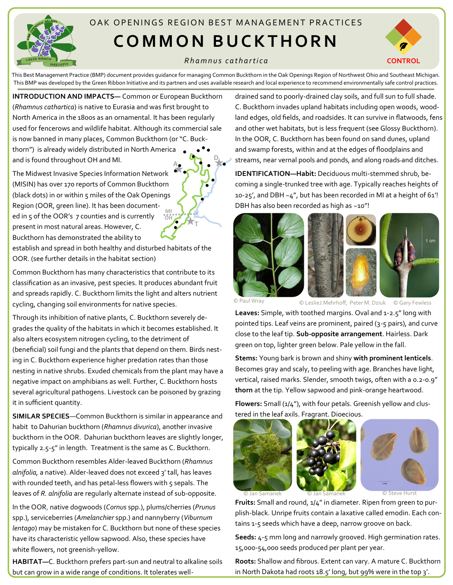

## OAK OPFNINGS REGION BEST MANAGEMENT PRACTICES **C O M M O N B U C K T H O R N**

## *R h a m n u s c a t h a r t i c a*



This Best Management Practice (BMP) document provides guidance for managing Common Buckthorn in the Oak Openings Region of Northwest Ohio and Southeast Michigan. This BMP was developed by the Green Ribbon Initiative and its partners and uses available research and local experience to recommend environmentally safe control practices.

**T**

**INTRODUCTION AND IMPACTS—** Common or European Buckthorn (*Rhamnus cathartica*) is native to Eurasia and was first brought to North America in the 1800s as an ornamental. It has been regularly used for fencerows and wildlife habitat. Although its commercial sale is now banned in many places, Common Buckthorn (or "C. Buckthorn") is already widely distributed in North America and is found throughout OH and MI. **A D**

The Midwest Invasive Species Information Network (MISIN) has over 170 reports of Common Buckthorn (black dots) in or within 5 miles of the Oak Openings Region (OOR, green line). It has been documented in 5 of the OOR's 7 counties and is currently present in most natural areas. However, C. Buckthorn has demonstrated the ability to **OH MI**

establish and spread in both healthy and disturbed habitats of the OOR. (see further details in the habitat section)

Common Buckthorn has many characteristics that contribute to its classification as an invasive, pest species. It produces abundant fruit and spreads rapidly. C. Buckthorn limits the light and alters nutrient cycling, changing soil environments for native species.

Through its inhibition of native plants, C. Buckthorn severely degrades the quality of the habitats in which it becomes established. It also alters ecosystem nitrogen cycling, to the detriment of (beneficial) soil fungi and the plants that depend on them. Birds nesting in C. Buckthorn experience higher predation rates than those nesting in native shrubs. Exuded chemicals from the plant may have a negative impact on amphibians as well. Further, C. Buckthorn hosts several agricultural pathogens. Livestock can be poisoned by grazing it in sufficient quantity.

**SIMILAR SPECIES**—Common Buckthorn is similar in appearance and habit to Dahurian buckthorn (*Rhamnus divurica*), another invasive buckthorn in the OOR. Dahurian buckthorn leaves are slightly longer, typically 2.5-5" in length. Treatment is the same as C. Buckthorn.

Common Buckthorn resembles Alder-leaved Buckthorn (*Rhamnus alnifolia,* a native). Alder-leaved does not exceed 3' tall, has leaves with rounded teeth, and has petal-less flowers with 5 sepals. The leaves of *R. alnifolia* are regularly alternate instead of sub-opposite.

In the OOR, native dogwoods (*Cornus* spp.), plums/cherries (*Prunus*  spp.), serviceberries (*Amelanchier* spp.) and nannyberry (*Viburnum lentago*) may be mistaken for C. Buckthorn but none of these species have its characteristic yellow sapwood. Also, these species have white flowers, not greenish-yellow.

**HABITAT—**C. Buckthorn prefers part-sun and neutral to alkaline soils but can grow in a wide range of conditions. It tolerates welldrained sand to poorly-drained clay soils, and full sun to full shade. C. Buckthorn invades upland habitats including open woods, woodland edges, old fields, and roadsides. It can survive in flatwoods, fens and other wet habitats, but is less frequent (see Glossy Buckthorn). In the OOR, C. Buckthorn has been found on sand dunes, upland and swamp forests, within and at the edges of floodplains and streams, near vernal pools and ponds, and along roads and ditches.

**IDENTIFICATION—Habit:** Deciduous multi-stemmed shrub, becoming a single-trunked tree with age. Typically reaches heights of 10-25', and DBH  $\sim$ 4", but has been recorded in MI at a height of 61'! DBH has also been recorded as high as ~10"!







© Paul Wray © LeslieJ.Mehrhoff, Peter M. Dziuk © Gary Fewless

Leaves: Simple, with toothed margins. Oval and 1-2.5" long with pointed tips. Leaf veins are prominent, paired (3-5 pairs), and curve close to the leaf tip. **Sub-opposite arrangement**. Hairless. Dark green on top, lighter green below. Pale yellow in the fall.

**Stems:** Young bark is brown and shiny **with prominent lenticels**. Becomes gray and scaly, to peeling with age. Branches have light, vertical, raised marks. Slender, smooth twigs, often with a 0.2-0.9" **thorn** at the tip. Yellow sapwood and pink-orange heartwood.

Flowers: Small (1/4"), with four petals. Greenish yellow and clustered in the leaf axils. Fragrant. Dioecious.





© Steve Hurs

**Fruits:** Small and round, 1/4" in diameter. Ripen from green to purplish-black. Unripe fruits contain a laxative called emodin. Each contains 1-5 seeds which have a deep, narrow groove on back.

**Seeds:** 4-5 mm long and narrowly grooved. High germination rates. 15,000-54,000 seeds produced per plant per year.

**Roots:** Shallow and fibrous. Extent can vary. A mature C. Buckthorn in North Dakota had roots 18.5' long, but 99% were in the top 3'.